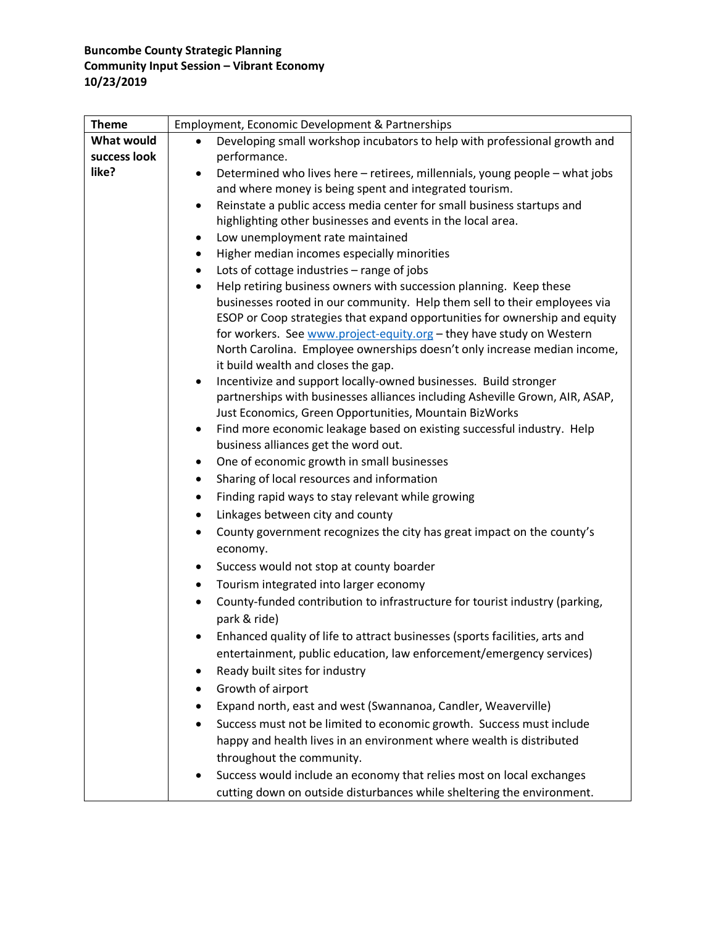#### **Buncombe County Strategic Planning Community Input Session – Vibrant Economy 10/23/2019**

| Employment, Economic Development & Partnerships                                                                                                                                                                                                                                                                                                    |
|----------------------------------------------------------------------------------------------------------------------------------------------------------------------------------------------------------------------------------------------------------------------------------------------------------------------------------------------------|
| Developing small workshop incubators to help with professional growth and<br>$\bullet$                                                                                                                                                                                                                                                             |
| performance.                                                                                                                                                                                                                                                                                                                                       |
| Determined who lives here - retirees, millennials, young people - what jobs<br>$\bullet$<br>and where money is being spent and integrated tourism.                                                                                                                                                                                                 |
| Reinstate a public access media center for small business startups and<br>$\bullet$                                                                                                                                                                                                                                                                |
| highlighting other businesses and events in the local area.                                                                                                                                                                                                                                                                                        |
| Low unemployment rate maintained<br>$\bullet$                                                                                                                                                                                                                                                                                                      |
| Higher median incomes especially minorities<br>$\bullet$                                                                                                                                                                                                                                                                                           |
| Lots of cottage industries - range of jobs<br>$\bullet$                                                                                                                                                                                                                                                                                            |
| Help retiring business owners with succession planning. Keep these<br>$\bullet$                                                                                                                                                                                                                                                                    |
| businesses rooted in our community. Help them sell to their employees via<br>ESOP or Coop strategies that expand opportunities for ownership and equity<br>for workers. See www.project-equity.org - they have study on Western<br>North Carolina. Employee ownerships doesn't only increase median income,<br>it build wealth and closes the gap. |
| Incentivize and support locally-owned businesses. Build stronger<br>$\bullet$                                                                                                                                                                                                                                                                      |
| partnerships with businesses alliances including Asheville Grown, AIR, ASAP,                                                                                                                                                                                                                                                                       |
| Just Economics, Green Opportunities, Mountain BizWorks<br>Find more economic leakage based on existing successful industry. Help                                                                                                                                                                                                                   |
| $\bullet$<br>business alliances get the word out.                                                                                                                                                                                                                                                                                                  |
| One of economic growth in small businesses<br>$\bullet$                                                                                                                                                                                                                                                                                            |
|                                                                                                                                                                                                                                                                                                                                                    |
| Sharing of local resources and information<br>$\bullet$                                                                                                                                                                                                                                                                                            |
| Finding rapid ways to stay relevant while growing<br>$\bullet$                                                                                                                                                                                                                                                                                     |
| Linkages between city and county<br>$\bullet$                                                                                                                                                                                                                                                                                                      |
| County government recognizes the city has great impact on the county's<br>$\bullet$<br>economy.                                                                                                                                                                                                                                                    |
| Success would not stop at county boarder<br>٠                                                                                                                                                                                                                                                                                                      |
| Tourism integrated into larger economy<br>$\bullet$                                                                                                                                                                                                                                                                                                |
| County-funded contribution to infrastructure for tourist industry (parking,<br>park & ride)                                                                                                                                                                                                                                                        |
| Enhanced quality of life to attract businesses (sports facilities, arts and                                                                                                                                                                                                                                                                        |
| entertainment, public education, law enforcement/emergency services)                                                                                                                                                                                                                                                                               |
| Ready built sites for industry                                                                                                                                                                                                                                                                                                                     |
| Growth of airport                                                                                                                                                                                                                                                                                                                                  |
| Expand north, east and west (Swannanoa, Candler, Weaverville)                                                                                                                                                                                                                                                                                      |
| Success must not be limited to economic growth. Success must include                                                                                                                                                                                                                                                                               |
| happy and health lives in an environment where wealth is distributed                                                                                                                                                                                                                                                                               |
| throughout the community.                                                                                                                                                                                                                                                                                                                          |
| Success would include an economy that relies most on local exchanges                                                                                                                                                                                                                                                                               |
| cutting down on outside disturbances while sheltering the environment.                                                                                                                                                                                                                                                                             |
|                                                                                                                                                                                                                                                                                                                                                    |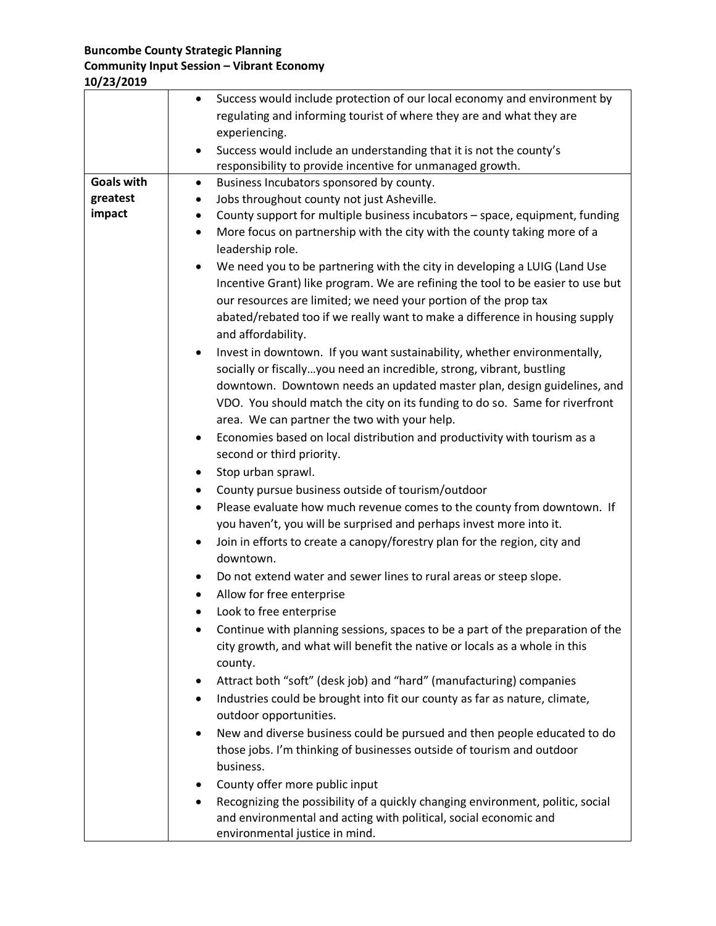### **Buncombe County Strategic Planning**

## **Community Input Session – Vibrant Economy**

| 10/23/2019 |  |
|------------|--|
|------------|--|

|                   | Success would include protection of our local economy and environment by<br>$\bullet$  |
|-------------------|----------------------------------------------------------------------------------------|
|                   | regulating and informing tourist of where they are and what they are                   |
|                   | experiencing.                                                                          |
|                   | Success would include an understanding that it is not the county's                     |
|                   | responsibility to provide incentive for unmanaged growth.                              |
| <b>Goals with</b> | Business Incubators sponsored by county.<br>$\bullet$                                  |
| greatest          | Jobs throughout county not just Asheville.<br>٠                                        |
| impact            | County support for multiple business incubators - space, equipment, funding<br>٠       |
|                   | More focus on partnership with the city with the county taking more of a<br>$\bullet$  |
|                   | leadership role.                                                                       |
|                   | We need you to be partnering with the city in developing a LUIG (Land Use<br>$\bullet$ |
|                   | Incentive Grant) like program. We are refining the tool to be easier to use but        |
|                   | our resources are limited; we need your portion of the prop tax                        |
|                   | abated/rebated too if we really want to make a difference in housing supply            |
|                   | and affordability.                                                                     |
|                   | Invest in downtown. If you want sustainability, whether environmentally,<br>$\bullet$  |
|                   | socially or fiscallyyou need an incredible, strong, vibrant, bustling                  |
|                   | downtown. Downtown needs an updated master plan, design guidelines, and                |
|                   | VDO. You should match the city on its funding to do so. Same for riverfront            |
|                   | area. We can partner the two with your help.                                           |
|                   | Economies based on local distribution and productivity with tourism as a<br>٠          |
|                   | second or third priority.                                                              |
|                   | Stop urban sprawl.                                                                     |
|                   | County pursue business outside of tourism/outdoor<br>٠                                 |
|                   | Please evaluate how much revenue comes to the county from downtown. If<br>$\bullet$    |
|                   | you haven't, you will be surprised and perhaps invest more into it.                    |
|                   | Join in efforts to create a canopy/forestry plan for the region, city and              |
|                   | downtown.                                                                              |
|                   | Do not extend water and sewer lines to rural areas or steep slope.                     |
|                   | Allow for free enterprise                                                              |
|                   | Look to free enterprise                                                                |
|                   | Continue with planning sessions, spaces to be a part of the preparation of the         |
|                   | city growth, and what will benefit the native or locals as a whole in this             |
|                   | county.                                                                                |
|                   | Attract both "soft" (desk job) and "hard" (manufacturing) companies<br>٠               |
|                   | Industries could be brought into fit our county as far as nature, climate,<br>٠        |
|                   | outdoor opportunities.                                                                 |
|                   | New and diverse business could be pursued and then people educated to do               |
|                   | those jobs. I'm thinking of businesses outside of tourism and outdoor                  |
|                   | business.                                                                              |
|                   | County offer more public input                                                         |
|                   | Recognizing the possibility of a quickly changing environment, politic, social         |
|                   | and environmental and acting with political, social economic and                       |
|                   | environmental justice in mind.                                                         |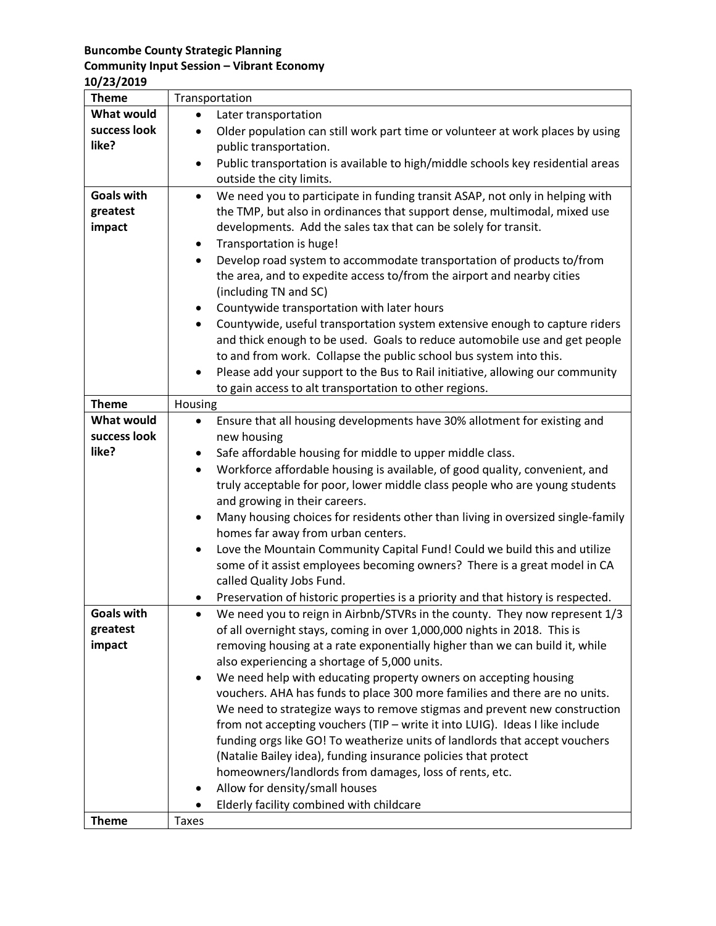#### **Buncombe County Strategic Planning**

### **Community Input Session – Vibrant Economy**

**10/23/2019**

| <b>Theme</b>      | Transportation                                                                               |
|-------------------|----------------------------------------------------------------------------------------------|
| <b>What would</b> | Later transportation                                                                         |
| success look      | Older population can still work part time or volunteer at work places by using               |
| like?             | public transportation.                                                                       |
|                   | Public transportation is available to high/middle schools key residential areas<br>$\bullet$ |
|                   | outside the city limits.                                                                     |
| <b>Goals with</b> | We need you to participate in funding transit ASAP, not only in helping with<br>$\bullet$    |
| greatest          | the TMP, but also in ordinances that support dense, multimodal, mixed use                    |
| impact            | developments. Add the sales tax that can be solely for transit.                              |
|                   | Transportation is huge!<br>٠                                                                 |
|                   | Develop road system to accommodate transportation of products to/from                        |
|                   | the area, and to expedite access to/from the airport and nearby cities                       |
|                   | (including TN and SC)                                                                        |
|                   | Countywide transportation with later hours<br>٠                                              |
|                   | Countywide, useful transportation system extensive enough to capture riders<br>$\bullet$     |
|                   | and thick enough to be used. Goals to reduce automobile use and get people                   |
|                   | to and from work. Collapse the public school bus system into this.                           |
|                   | Please add your support to the Bus to Rail initiative, allowing our community<br>$\bullet$   |
|                   | to gain access to alt transportation to other regions.                                       |
| <b>Theme</b>      | Housing                                                                                      |
| <b>What would</b> | Ensure that all housing developments have 30% allotment for existing and<br>$\bullet$        |
| success look      | new housing                                                                                  |
| like?             | Safe affordable housing for middle to upper middle class.                                    |
|                   | Workforce affordable housing is available, of good quality, convenient, and<br>$\bullet$     |
|                   | truly acceptable for poor, lower middle class people who are young students                  |
|                   | and growing in their careers.                                                                |
|                   | Many housing choices for residents other than living in oversized single-family              |
|                   | homes far away from urban centers.                                                           |
|                   | Love the Mountain Community Capital Fund! Could we build this and utilize<br>$\bullet$       |
|                   | some of it assist employees becoming owners? There is a great model in CA                    |
|                   | called Quality Jobs Fund.                                                                    |
|                   | Preservation of historic properties is a priority and that history is respected.             |
| <b>Goals with</b> | We need you to reign in Airbnb/STVRs in the county. They now represent 1/3                   |
| greatest          | of all overnight stays, coming in over 1,000,000 nights in 2018. This is                     |
| impact            | removing housing at a rate exponentially higher than we can build it, while                  |
|                   | also experiencing a shortage of 5,000 units.                                                 |
|                   | We need help with educating property owners on accepting housing                             |
|                   | vouchers. AHA has funds to place 300 more families and there are no units.                   |
|                   | We need to strategize ways to remove stigmas and prevent new construction                    |
|                   | from not accepting vouchers (TIP - write it into LUIG). Ideas I like include                 |
|                   | funding orgs like GO! To weatherize units of landlords that accept vouchers                  |
|                   | (Natalie Bailey idea), funding insurance policies that protect                               |
|                   | homeowners/landlords from damages, loss of rents, etc.                                       |
|                   | Allow for density/small houses                                                               |
|                   | Elderly facility combined with childcare                                                     |
| <b>Theme</b>      | <b>Taxes</b>                                                                                 |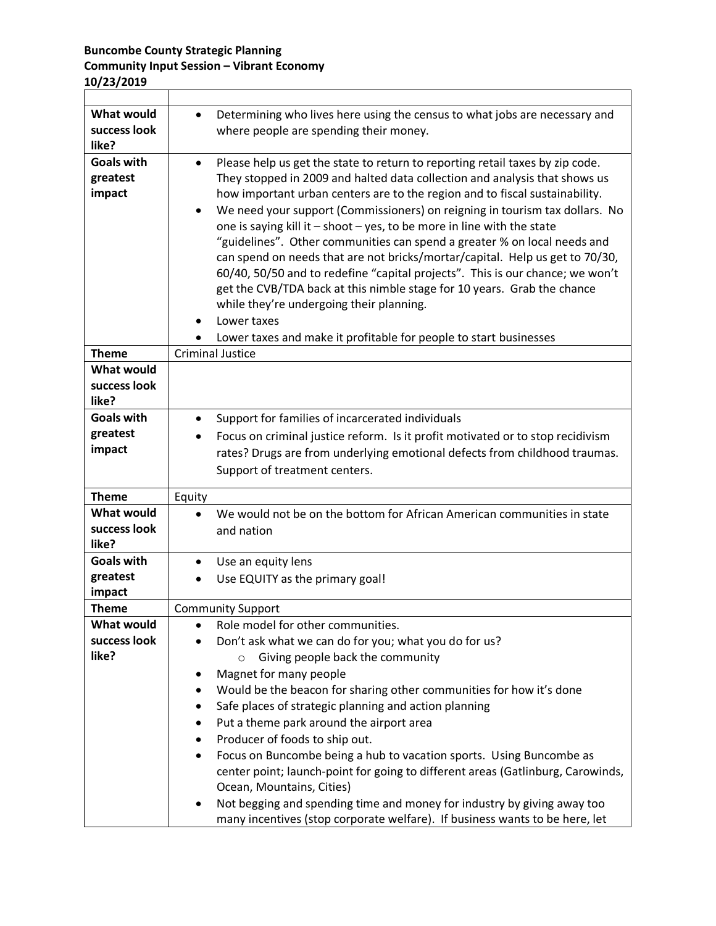## **Buncombe County Strategic Planning Community Input Session – Vibrant Economy 10/23/2019**

| <b>What would</b><br>success look<br>like? | Determining who lives here using the census to what jobs are necessary and<br>$\bullet$<br>where people are spending their money.                                                                                                                                                                                                                                                                                                                                                                                                                                                                                                                                                                                                                                                                                                                                                         |
|--------------------------------------------|-------------------------------------------------------------------------------------------------------------------------------------------------------------------------------------------------------------------------------------------------------------------------------------------------------------------------------------------------------------------------------------------------------------------------------------------------------------------------------------------------------------------------------------------------------------------------------------------------------------------------------------------------------------------------------------------------------------------------------------------------------------------------------------------------------------------------------------------------------------------------------------------|
| <b>Goals with</b><br>greatest<br>impact    | Please help us get the state to return to reporting retail taxes by zip code.<br>$\bullet$<br>They stopped in 2009 and halted data collection and analysis that shows us<br>how important urban centers are to the region and to fiscal sustainability.<br>We need your support (Commissioners) on reigning in tourism tax dollars. No<br>$\bullet$<br>one is saying kill it $-$ shoot $-$ yes, to be more in line with the state<br>"guidelines". Other communities can spend a greater % on local needs and<br>can spend on needs that are not bricks/mortar/capital. Help us get to 70/30,<br>60/40, 50/50 and to redefine "capital projects". This is our chance; we won't<br>get the CVB/TDA back at this nimble stage for 10 years. Grab the chance<br>while they're undergoing their planning.<br>Lower taxes<br>Lower taxes and make it profitable for people to start businesses |
| <b>Theme</b>                               | <b>Criminal Justice</b>                                                                                                                                                                                                                                                                                                                                                                                                                                                                                                                                                                                                                                                                                                                                                                                                                                                                   |
| <b>What would</b><br>success look<br>like? |                                                                                                                                                                                                                                                                                                                                                                                                                                                                                                                                                                                                                                                                                                                                                                                                                                                                                           |
| <b>Goals with</b>                          | Support for families of incarcerated individuals<br>٠                                                                                                                                                                                                                                                                                                                                                                                                                                                                                                                                                                                                                                                                                                                                                                                                                                     |
| greatest                                   | Focus on criminal justice reform. Is it profit motivated or to stop recidivism                                                                                                                                                                                                                                                                                                                                                                                                                                                                                                                                                                                                                                                                                                                                                                                                            |
| impact                                     | rates? Drugs are from underlying emotional defects from childhood traumas.                                                                                                                                                                                                                                                                                                                                                                                                                                                                                                                                                                                                                                                                                                                                                                                                                |
|                                            | Support of treatment centers.                                                                                                                                                                                                                                                                                                                                                                                                                                                                                                                                                                                                                                                                                                                                                                                                                                                             |
| <b>Theme</b>                               | Equity                                                                                                                                                                                                                                                                                                                                                                                                                                                                                                                                                                                                                                                                                                                                                                                                                                                                                    |
| <b>What would</b><br>success look<br>like? | We would not be on the bottom for African American communities in state<br>$\bullet$<br>and nation                                                                                                                                                                                                                                                                                                                                                                                                                                                                                                                                                                                                                                                                                                                                                                                        |
| <b>Goals with</b>                          | Use an equity lens<br>٠                                                                                                                                                                                                                                                                                                                                                                                                                                                                                                                                                                                                                                                                                                                                                                                                                                                                   |
| greatest                                   | Use EQUITY as the primary goal!                                                                                                                                                                                                                                                                                                                                                                                                                                                                                                                                                                                                                                                                                                                                                                                                                                                           |
| impact                                     |                                                                                                                                                                                                                                                                                                                                                                                                                                                                                                                                                                                                                                                                                                                                                                                                                                                                                           |
| <b>Theme</b>                               | <b>Community Support</b>                                                                                                                                                                                                                                                                                                                                                                                                                                                                                                                                                                                                                                                                                                                                                                                                                                                                  |
| What would                                 | Role model for other communities.                                                                                                                                                                                                                                                                                                                                                                                                                                                                                                                                                                                                                                                                                                                                                                                                                                                         |
| success look                               | Don't ask what we can do for you; what you do for us?                                                                                                                                                                                                                                                                                                                                                                                                                                                                                                                                                                                                                                                                                                                                                                                                                                     |
| like?                                      | Giving people back the community<br>$\circ$                                                                                                                                                                                                                                                                                                                                                                                                                                                                                                                                                                                                                                                                                                                                                                                                                                               |
|                                            | Magnet for many people                                                                                                                                                                                                                                                                                                                                                                                                                                                                                                                                                                                                                                                                                                                                                                                                                                                                    |
|                                            | Would be the beacon for sharing other communities for how it's done<br>٠                                                                                                                                                                                                                                                                                                                                                                                                                                                                                                                                                                                                                                                                                                                                                                                                                  |
|                                            | Safe places of strategic planning and action planning<br>Put a theme park around the airport area                                                                                                                                                                                                                                                                                                                                                                                                                                                                                                                                                                                                                                                                                                                                                                                         |
|                                            | Producer of foods to ship out.<br>٠                                                                                                                                                                                                                                                                                                                                                                                                                                                                                                                                                                                                                                                                                                                                                                                                                                                       |
|                                            | Focus on Buncombe being a hub to vacation sports. Using Buncombe as                                                                                                                                                                                                                                                                                                                                                                                                                                                                                                                                                                                                                                                                                                                                                                                                                       |
|                                            | center point; launch-point for going to different areas (Gatlinburg, Carowinds,<br>Ocean, Mountains, Cities)                                                                                                                                                                                                                                                                                                                                                                                                                                                                                                                                                                                                                                                                                                                                                                              |
|                                            | Not begging and spending time and money for industry by giving away too                                                                                                                                                                                                                                                                                                                                                                                                                                                                                                                                                                                                                                                                                                                                                                                                                   |
|                                            | many incentives (stop corporate welfare). If business wants to be here, let                                                                                                                                                                                                                                                                                                                                                                                                                                                                                                                                                                                                                                                                                                                                                                                                               |

٦